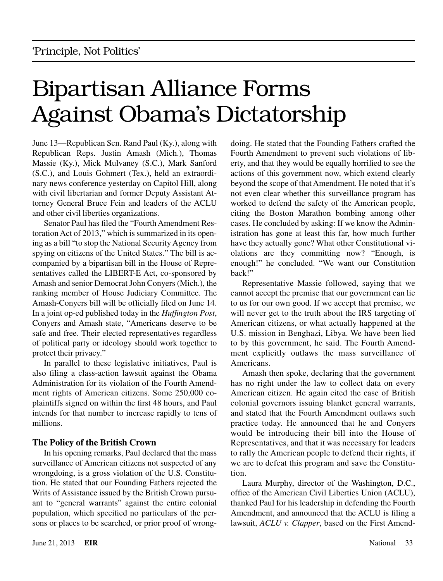# Bipartisan Alliance Forms Against Obama's Dictatorship

June 13—Republican Sen. Rand Paul (Ky.), along with Republican Reps. Justin Amash (Mich.), Thomas Massie (Ky.), Mick Mulvaney (S.C.), Mark Sanford (S.C.), and Louis Gohmert (Tex.), held an extraordinary news conference yesterday on Capitol Hill, along with civil libertarian and former Deputy Assistant Attorney General Bruce Fein and leaders of the ACLU and other civil liberties organizations.

Senator Paul has filed the "Fourth Amendment Restoration Act of 2013," which is summarized in its opening as a bill "to stop the National Security Agency from spying on citizens of the United States." The bill is accompanied by a bipartisan bill in the House of Representatives called the LIBERT-E Act, co-sponsored by Amash and senior Democrat John Conyers (Mich.), the ranking member of House Judiciary Committee. The Amash-Conyers bill will be officially filed on June 14. In a joint op-ed published today in the *Huffington Post*, Conyers and Amash state, "Americans deserve to be safe and free. Their elected representatives regardless of political party or ideology should work together to protect their privacy."

In parallel to these legislative initiatives, Paul is also filing a class-action lawsuit against the Obama Administration for its violation of the Fourth Amendment rights of American citizens. Some 250,000 coplaintiffs signed on within the first 48 hours, and Paul intends for that number to increase rapidly to tens of millions.

### **The Policy of the British Crown**

In his opening remarks, Paul declared that the mass surveillance of American citizens not suspected of any wrongdoing, is a gross violation of the U.S. Constitution. He stated that our Founding Fathers rejected the Writs of Assistance issued by the British Crown pursuant to "general warrants" against the entire colonial population, which specified no particulars of the persons or places to be searched, or prior proof of wrongdoing. He stated that the Founding Fathers crafted the Fourth Amendment to prevent such violations of liberty, and that they would be equally horrified to see the actions of this government now, which extend clearly beyond the scope of that Amendment. He noted that it's not even clear whether this surveillance program has worked to defend the safety of the American people, citing the Boston Marathon bombing among other cases. He concluded by asking: If we know the Administration has gone at least this far, how much further have they actually gone? What other Constitutional violations are they committing now? "Enough, is enough!" he concluded. "We want our Constitution back!"

Representative Massie followed, saying that we cannot accept the premise that our government can lie to us for our own good. If we accept that premise, we will never get to the truth about the IRS targeting of American citizens, or what actually happened at the U.S. mission in Benghazi, Libya. We have been lied to by this government, he said. The Fourth Amendment explicitly outlaws the mass surveillance of Americans.

Amash then spoke, declaring that the government has no right under the law to collect data on every American citizen. He again cited the case of British colonial governors issuing blanket general warrants, and stated that the Fourth Amendment outlaws such practice today. He announced that he and Conyers would be introducing their bill into the House of Representatives, and that it was necessary for leaders to rally the American people to defend their rights, if we are to defeat this program and save the Constitution.

Laura Murphy, director of the Washington, D.C., office of the American Civil Liberties Union (ACLU), thanked Paul for his leadership in defending the Fourth Amendment, and announced that the ACLU is filing a lawsuit, *ACLU v. Clapper*, based on the First Amend-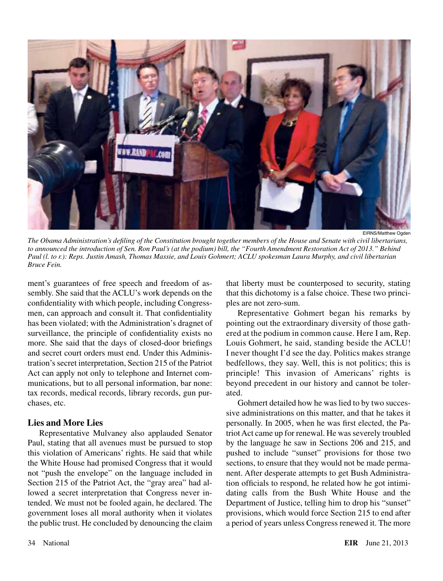

EIRNS/Matthew Ogden

*The Obama Administration's defiling of the Constitution brought together members of the House and Senate with civil libertarians, to announced the introduction of Sen. Ron Paul's (at the podium) bill, the "Fourth Amendment Restoration Act of 2013." Behind Paul (l. to r.): Reps. Justin Amash, Thomas Massie, and Louis Gohmert; ACLU spokesman Laura Murphy, and civil libertarian Bruce Fein.*

ment's guarantees of free speech and freedom of assembly. She said that the ACLU's work depends on the confidentiality with which people, including Congressmen, can approach and consult it. That confidentiality has been violated; with the Administration's dragnet of surveillance, the principle of confidentiality exists no more. She said that the days of closed-door briefings and secret court orders must end. Under this Administration's secret interpretation, Section 215 of the Patriot Act can apply not only to telephone and Internet communications, but to all personal information, bar none: tax records, medical records, library records, gun purchases, etc.

### **Lies and More Lies**

Representative Mulvaney also applauded Senator Paul, stating that all avenues must be pursued to stop this violation of Americans' rights. He said that while the White House had promised Congress that it would not "push the envelope" on the language included in Section 215 of the Patriot Act, the "gray area" had allowed a secret interpretation that Congress never intended. We must not be fooled again, he declared. The government loses all moral authority when it violates the public trust. He concluded by denouncing the claim that liberty must be counterposed to security, stating that this dichotomy is a false choice. These two principles are not zero-sum.

Representative Gohmert began his remarks by pointing out the extraordinary diversity of those gathered at the podium in common cause. Here I am, Rep. Louis Gohmert, he said, standing beside the ACLU! I never thought I'd see the day. Politics makes strange bedfellows, they say. Well, this is not politics; this is principle! This invasion of Americans' rights is beyond precedent in our history and cannot be tolerated.

Gohmert detailed how he was lied to by two successive administrations on this matter, and that he takes it personally. In 2005, when he was first elected, the Patriot Act came up for renewal. He was severely troubled by the language he saw in Sections 206 and 215, and pushed to include "sunset" provisions for those two sections, to ensure that they would not be made permanent. After desperate attempts to get Bush Administration officials to respond, he related how he got intimidating calls from the Bush White House and the Department of Justice, telling him to drop his "sunset" provisions, which would force Section 215 to end after a period of years unless Congress renewed it. The more